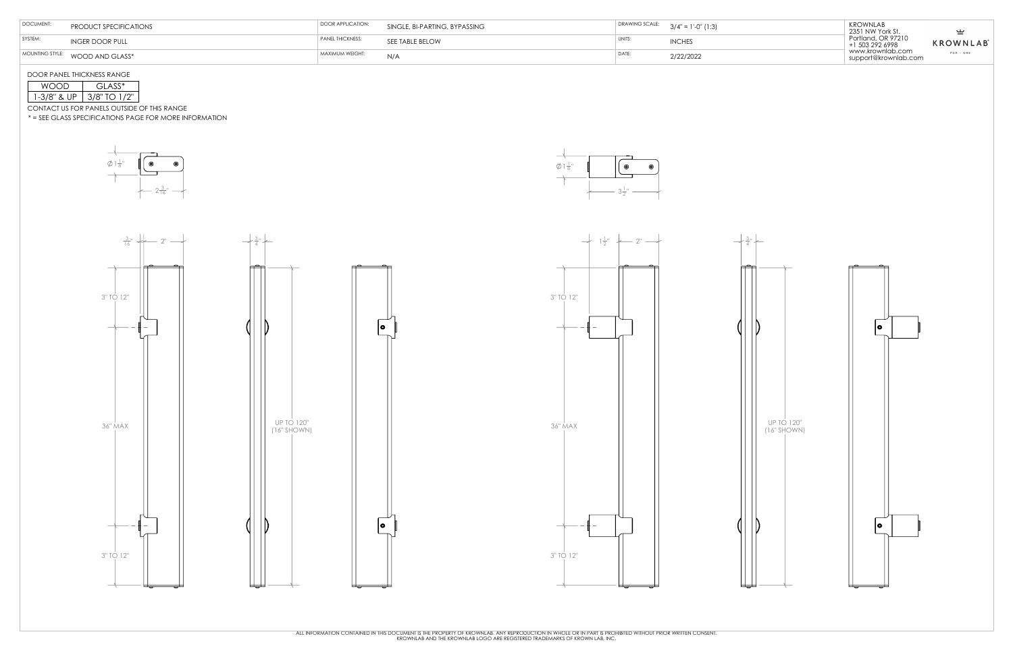







DOOR PANEL THICKNESS RANGE

CONTACT US FOR PANELS OUTSIDE OF THIS RANGE

\* = SEE GLASS SPECIFICATIONS PAGE FOR MORE INFORMATION

| וו זו      | $L$ ASS*          |  |  |
|------------|-------------------|--|--|
| -3/8" & UP | TO 1/2"<br>37X' . |  |  |

| DOCUMENT: | PRODUCT SPECIFICATIONS          | DOOR APPLICATION: | SINGLE, BI-PARTING, BYPASSING |       | DRAWING SCALE: $3/4" = 1'-0" (1:3)$ | <b>KROWNLAB</b><br>2351 NW York St.      | ◡               |
|-----------|---------------------------------|-------------------|-------------------------------|-------|-------------------------------------|------------------------------------------|-----------------|
| SYSTEM:   | <b>INGER DOOR PULL</b>          | PANEL THICKNESS:  | SEE TABLE BELOW               | UNITS | <b>INCHES</b>                       | Portland, OR 97210<br>+1 503 292 6998    | <b>KROWNLAB</b> |
|           | MOUNTING STYLE: WOOD AND GLASS* | MAXIMUM WEIGHT:   | N/A                           | DATE  | 2/22/2022                           | www.krownlab.com<br>support@krownlab.com | PDX - ORE       |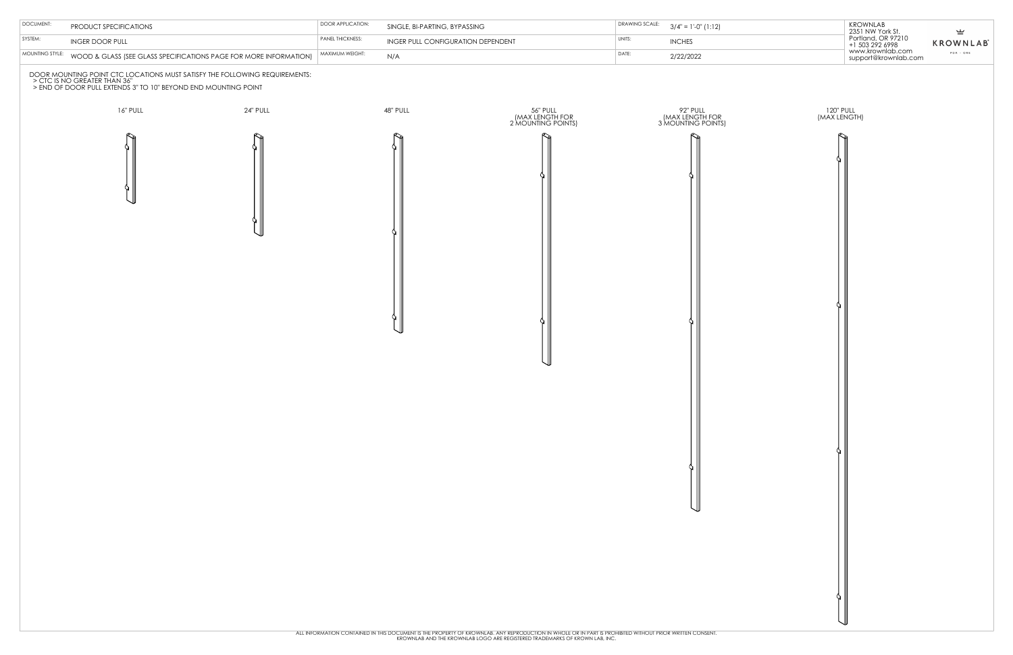120" PULL (MAX LENGTH)





| <b>KROWNLAB</b><br>2351 NW York St.<br>Portland, OR 97210<br>+1 503 292 6998<br>www.krownlab.com<br>support@krownlab.com | ⊻<br><b>KROWNLAB</b><br>$PDX - ORE$ |
|--------------------------------------------------------------------------------------------------------------------------|-------------------------------------|
|--------------------------------------------------------------------------------------------------------------------------|-------------------------------------|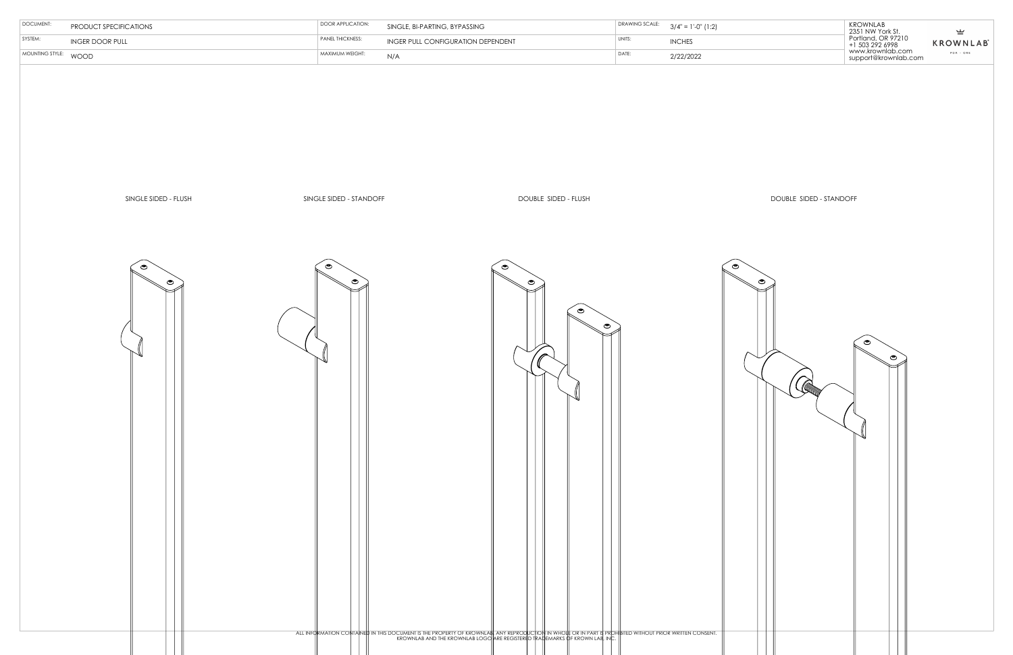| PRODUCT SPECIFICATIONS | DOOR APPLICATION:       | SINGLE, BI-PARTING, BYPASSING             |         | DRAWING SCALE: $3/4" = 1'-0" (1:2)$ | <b>KROWNLAB</b><br>2351 NW York St.      | ுட்                          |
|------------------------|-------------------------|-------------------------------------------|---------|-------------------------------------|------------------------------------------|------------------------------|
| <b>INGER DOOR PULL</b> | <b>PANEL THICKNESS:</b> | <b>INGER PULL CONFIGURATION DEPENDENT</b> | ' UNIT. | <b>INCHES</b>                       | Portland, OR 97210<br>+1 503 292 6998    | <b>KROWNLAB</b> <sup>®</sup> |
| WOOD                   | MAXIMUM WEIGHT:         | N/A                                       | DATE:   | 2/22/2022                           | www.krownlab.com<br>support@krownlab.com | PDX - ORE                    |

DOUBLE SIDED - STANDOFF



| MOUNTING STYLE:<br>DATE:<br>MAXIMUM WEIGHT:<br>WOOD<br>N/A<br>2/22/2022<br>SINGLE SIDED - FLUSH<br>SINGLE SIDED - STANDOFF<br>DOUBLE SIDED - FLUSH<br>$\bullet$<br>$\circledcirc$<br>$\bullet$<br>$\bullet$<br>$\bullet$<br>$\bullet$<br>$\bullet$<br>$\bullet$<br>ALL INFORMATION CONTANED IN THIS DOCUMENT IS THE PROPERTY OF KROWNLABLANY REPRODUCTION IN WHOLF OR IN PART IS PROHIBITED WITHOUT PRIOR WRITTEN CONSENT.<br>KROWNLAB AND THE KROWNLAB LOGO ARE REGISTERED TRADEMARKS OF KROWN LAB, | SYSTEM: | <b>INGER DOOR PULL</b> | PANEL THICKNESS: | INGER PULL CONFIGURATION DEPENDENT | UNITS: | <b>INCHES</b>       |
|------------------------------------------------------------------------------------------------------------------------------------------------------------------------------------------------------------------------------------------------------------------------------------------------------------------------------------------------------------------------------------------------------------------------------------------------------------------------------------------------------|---------|------------------------|------------------|------------------------------------|--------|---------------------|
|                                                                                                                                                                                                                                                                                                                                                                                                                                                                                                      |         |                        |                  |                                    |        |                     |
|                                                                                                                                                                                                                                                                                                                                                                                                                                                                                                      |         |                        |                  |                                    |        |                     |
|                                                                                                                                                                                                                                                                                                                                                                                                                                                                                                      |         |                        |                  |                                    |        | $\widehat{\bullet}$ |
|                                                                                                                                                                                                                                                                                                                                                                                                                                                                                                      |         |                        |                  |                                    |        |                     |

DOCUMENT: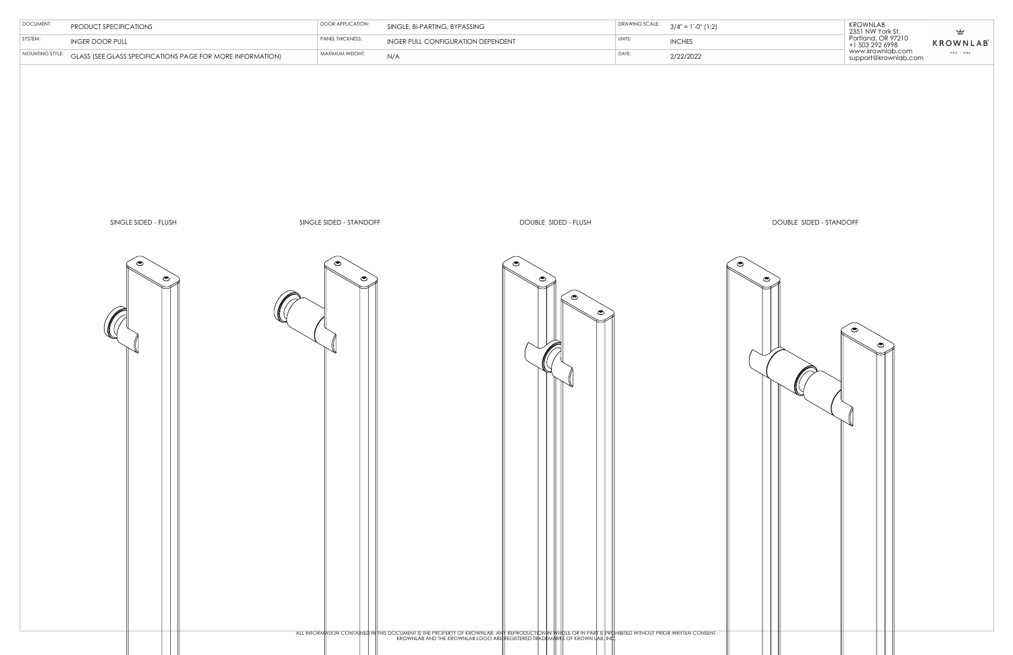

| KROWNLAB<br>2351 NW York St.<br>⊻<br>Portland, OR 97210<br><b>KROWNLAB</b><br>+1 503 292 6998<br>www.krownlab.com<br>$PDX - ORE$<br>support@krownlab.com |
|----------------------------------------------------------------------------------------------------------------------------------------------------------|
|----------------------------------------------------------------------------------------------------------------------------------------------------------|